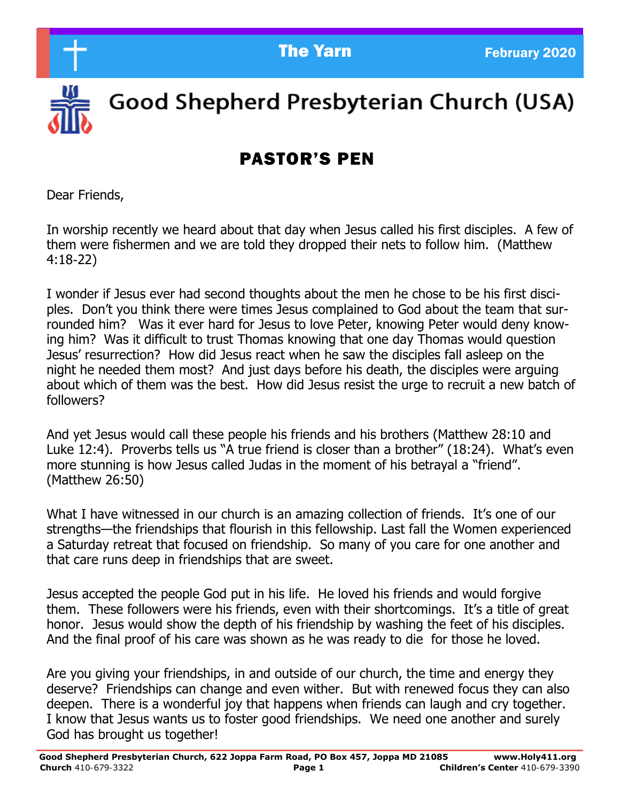

Good Shepherd Presbyterian Church (USA)

# PASTOR'S PEN

Dear Friends,

In worship recently we heard about that day when Jesus called his first disciples. A few of them were fishermen and we are told they dropped their nets to follow him. (Matthew 4:18-22)

I wonder if Jesus ever had second thoughts about the men he chose to be his first disciples. Don't you think there were times Jesus complained to God about the team that surrounded him? Was it ever hard for Jesus to love Peter, knowing Peter would deny knowing him? Was it difficult to trust Thomas knowing that one day Thomas would question Jesus' resurrection? How did Jesus react when he saw the disciples fall asleep on the night he needed them most? And just days before his death, the disciples were arguing about which of them was the best. How did Jesus resist the urge to recruit a new batch of followers?

And yet Jesus would call these people his friends and his brothers (Matthew 28:10 and Luke 12:4). Proverbs tells us "A true friend is closer than a brother" (18:24). What's even more stunning is how Jesus called Judas in the moment of his betrayal a "friend". (Matthew 26:50)

What I have witnessed in our church is an amazing collection of friends. It's one of our strengths—the friendships that flourish in this fellowship. Last fall the Women experienced a Saturday retreat that focused on friendship. So many of you care for one another and that care runs deep in friendships that are sweet.

Jesus accepted the people God put in his life. He loved his friends and would forgive them. These followers were his friends, even with their shortcomings. It's a title of great honor. Jesus would show the depth of his friendship by washing the feet of his disciples. And the final proof of his care was shown as he was ready to die for those he loved.

Are you giving your friendships, in and outside of our church, the time and energy they deserve? Friendships can change and even wither. But with renewed focus they can also deepen. There is a wonderful joy that happens when friends can laugh and cry together. I know that Jesus wants us to foster good friendships. We need one another and surely God has brought us together!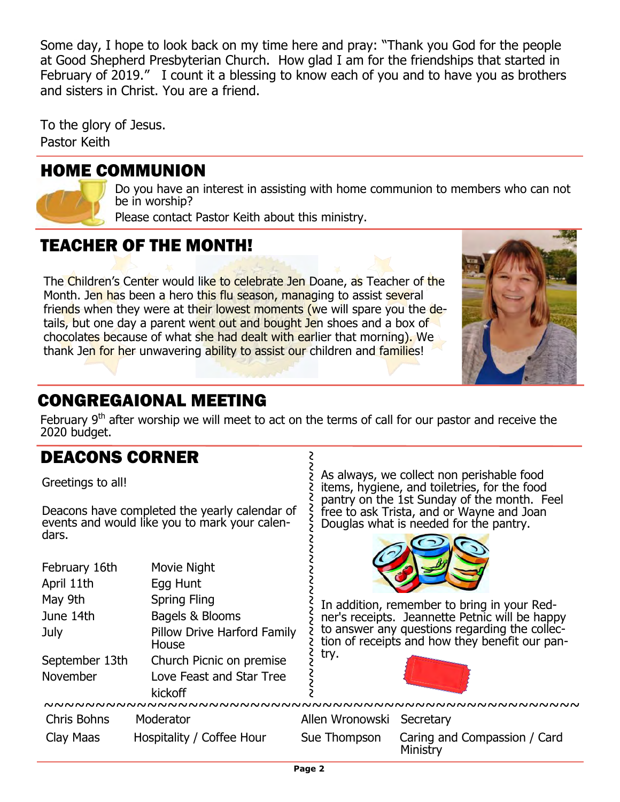Some day, I hope to look back on my time here and pray: "Thank you God for the people<br>at Cood Shaphard Presbyterian Church - How glad I am for the friendships that started in at Good Shepherd Presbyterian Church. How glad I am for the friendships that started in February of 2019." I count it a blessing to know each of you and to have you as brothers and sisters in Christ. You are a friend.

To the glory of Jesus. Pastor Keith

#### HOME COMMUNION

Do you have an interest in assisting with home communion to members who can not be in worship?

Please contact Pastor Keith about this ministry.

### TEACHER OF THE MONTH!

The Children's Center would like to celebrate Jen Doane, as Teacher of the Month. Jen has been a hero this flu season, managing to assist several friends when they were at their lowest moments (we will spare you the details, but one day a parent went out and bought Jen shoes and a box of chocolates because of what she had dealt with earlier that morning). We thank Jen for her unwavering ability to assist our children and families!



#### CONGREGAIONAL MEETING

February  $9<sup>th</sup>$  after worship we will meet to act on the terms of call for our pastor and receive the 2020 budget.

2<br>2

#### DEACONS CORNER

Greetings to all!

Deacons have completed the yearly calendar of events and would like you to mark your calendars.

| February 16th  | Movie Night                          |
|----------------|--------------------------------------|
| April 11th     | Egg Hunt                             |
| May 9th        | <b>Spring Fling</b>                  |
| June 14th      | Bagels & Blooms                      |
| July           | Pillow Drive Harford Family<br>House |
| September 13th | Church Picnic on premise             |
| November       | Love Feast and Star Tree             |
|                | kickoff                              |
|                |                                      |

As always, we collect non perishable food items, hygiene, and toiletries, for the food pantry on the 1st Sunday of the month. Feel free to ask Trista, and or Wayne and Joan Douglas what is needed for the pantry.



In addition, remember to bring in your Redner's receipts. Jeannette Petnic will be happy to answer any questions regarding the collection of receipts and how they benefit our pantry. ~~~~~~~~~~~~~~~~~~~~~~~~



 $~\sim~$   $~\sim~$   $~\sim$   $~\sim$   $~\sim$   $~\sim$   $~\sim$   $~\sim$   $~\sim$   $~\sim$   $~\sim$   $~\sim$   $~\sim$   $~\sim$   $~\sim$   $~\sim$   $~\sim$   $~\sim$   $~\sim$   $~\sim$   $~\sim$   $~\sim$   $~\sim$   $~\sim$   $~\sim$   $~\sim$   $~\sim$   $~\sim$   $~\sim$   $~\sim$   $~\sim$   $~\sim$   $~\sim$   $~\sim$   $~\sim$   $~\sim$   $~\$ Chris Bohns Moderator Allen Wronowski Secretary Clay Maas Hospitality / Coffee Hour Sue Thompson Caring and Compassion / Card Ministry

S 2<br>2

2<br>2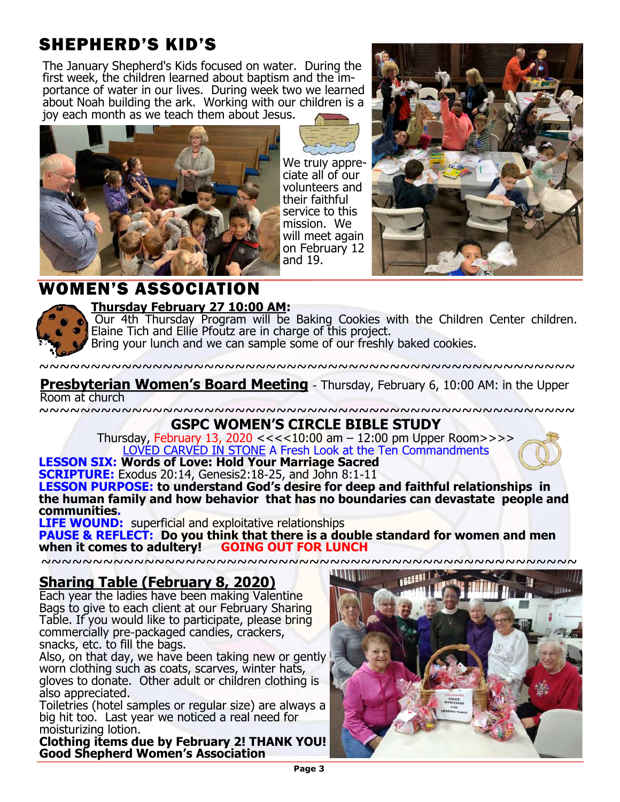# SHEPHERD'S KID'S

The January Shepherd's Kids focused on water. During the first week, the children learned about baptism and the importance of water in our lives. During week two we learned about Noah building the ark. Working with our children is a joy each month as we teach them about Jesus.



We truly appreciate all of our volunteers and their faithful service to this mission. We will meet again on February 12 and 19.



#### **WOMEN'S ASSOCIATI**



#### **Thursday February 27 10:00 AM:**

Our 4th Thursday Program will be Baking Cookies with the Children Center children. Elaine Tich and Ellie Pfoutz are in charge of this project.

Bring your lunch and we can sample some of our freshly baked cookies.

~~~~~~~~~~~~~~~~~~~~~~~~~~~~~~~~~~~~~~~~~~~~~~~~~~~~

**Presbyterian Women's Board Meeting** - Thursday, February 6, 10:00 AM: in the Upper Room at church

~~~~~~~~~~~~~~~~~~~~~~~~~~~~~~~~~~~~~~~~~~~~~~~~~~~~

**GSPC WOMEN'S CIRCLE BIBLE STUDY**

Thursday, February 13, 2020 <<<<10:00 am – 12:00 pm Upper Room>>>> LOVED CARVED IN STONE A Fresh Look at the Ten Commandments



#### **LESSON SIX: Words of Love: Hold Your Marriage Sacred**

**SCRIPTURE:** Exodus 20:14, Genesis2:18-25, and John 8:1-11

**LESSON PURPOSE: to understand God's desire for deep and faithful relationships in the human family and how behavior that has no boundaries can devastate people and communities.** 

**LIFE WOUND:** superficial and exploitative relationships

**PAUSE & REFLECT: Do you think that there is a double standard for women and men when it comes to adultery!** 

 $~\sim~$ 

#### **Sharing Table (February 8, 2020)**

Each year the ladies have been making Valentine Bags to give to each client at our February Sharing Table. If you would like to participate, please bring commercially pre-packaged candies, crackers, snacks, etc. to fill the bags.

Also, on that day, we have been taking new or gently worn clothing such as coats, scarves, winter hats, gloves to donate. Other adult or children clothing is also appreciated.

Toiletries (hotel samples or regular size) are always a big hit too. Last year we noticed a real need for moisturizing lotion.

**Clothing items due by February 2! THANK YOU! Good Shepherd Women's Association**

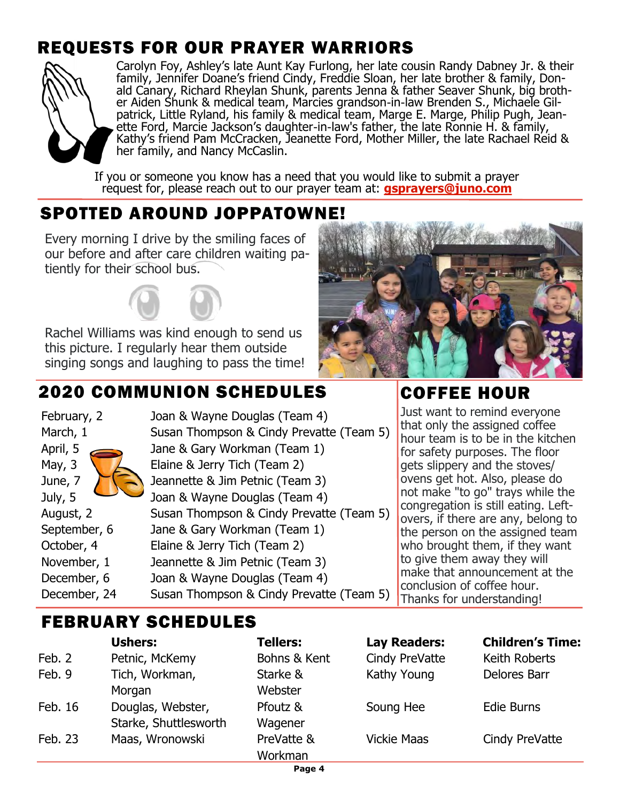# REQUESTS FOR OUR PRAYER WARRIORS



Carolyn Foy, Ashley's late Aunt Kay Furlong, her late cousin Randy Dabney Jr. & their family, Jennifer Doane's friend Cindy, Freddie Sloan, her late brother & family, Donald Canary, Richard Rheylan Shunk, parents Jenna & father Seaver Shunk, big brother Aiden Shunk & medical team, Marcies grandson-in-law Brenden S., Michaele Gilpatrick, Little Ryland, his family & medical team, Marge E. Marge, Philip Pugh, Jeanette Ford, Marcie Jackson's daughter-in-law's father, the late Ronnie H. & family, Kathy's friend Pam McCracken, Jeanette Ford, Mother Miller, the late Rachael Reid & her family, and Nancy McCaslin.

If you or someone you know has a need that you would like to submit a prayer request for, please reach out to our prayer team at: **[gsprayers@juno.com](mailto:gsprayers@juno.com)**

# SPOTTED AROUND JOPPATOWNE!

Every morning I drive by the smiling faces of our before and after care children waiting patiently for their school bus.

Rachel Williams was kind enough to send us this picture. I regularly hear them outside singing songs and laughing to pass the time!

# 2020 COMMUNION SCHEDULES

February, 2 Joan & Wayne Douglas (Team 4) March, 1 Susan Thompson & Cindy Prevatte (Team 5) April, 5 Jane & Gary Workman (Team 1) May, 3 Elaine & Jerry Tich (Team 2) June, 7 Jeannette & Jim Petnic (Team 3) July, 5 Joan & Wayne Douglas (Team 4) August, 2 Susan Thompson & Cindy Prevatte (Team 5) September, 6 Jane & Gary Workman (Team 1) October, 4 Elaine & Jerry Tich (Team 2) November, 1 Jeannette & Jim Petnic (Team 3) December, 6 Joan & Wayne Douglas (Team 4) December, 24 Susan Thompson & Cindy Prevatte (Team 5)



# COFFEE HOUR

Just want to remind everyone that only the assigned coffee hour team is to be in the kitchen for safety purposes. The floor gets slippery and the stoves/ ovens get hot. Also, please do not make "to go" trays while the congregation is still eating. Leftovers, if there are any, belong to the person on the assigned team who brought them, if they want to give them away they will make that announcement at the conclusion of coffee hour. Thanks for understanding!

# FEBRUARY SCHEDULES

|         | <b>Ushers:</b>        | <b>Tellers:</b> | <b>Lay Readers:</b> | <b>Children's Time:</b> |
|---------|-----------------------|-----------------|---------------------|-------------------------|
| Feb. 2  | Petnic, McKemy        | Bohns & Kent    | Cindy PreVatte      | Keith Roberts           |
| Feb. 9  | Tich, Workman,        | Starke &        | Kathy Young         | Delores Barr            |
|         | Morgan                | Webster         |                     |                         |
| Feb. 16 | Douglas, Webster,     | Pfoutz &        | Soung Hee           | Edie Burns              |
|         | Starke, Shuttlesworth | Wagener         |                     |                         |
| Feb. 23 | Maas, Wronowski       | PreVatte &      | <b>Vickie Maas</b>  | Cindy PreVatte          |
|         |                       | Workman         |                     |                         |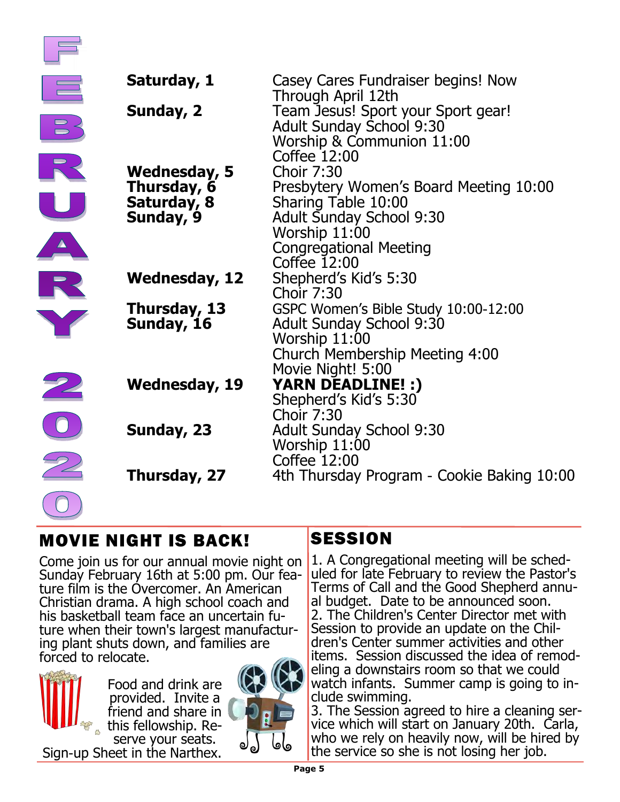| Saturday, 1                                             | Casey Cares Fundraiser begins! Now<br>Through April 12th                                                                                                                |
|---------------------------------------------------------|-------------------------------------------------------------------------------------------------------------------------------------------------------------------------|
| Sunday, 2                                               | Team Jesus! Sport your Sport gear!<br><b>Adult Sunday School 9:30</b><br>Worship & Communion 11:00<br>Coffee 12:00                                                      |
| Wednesday, 5<br>Thursday, 6<br>Saturday, 8<br>Sunday, 9 | <b>Choir 7:30</b><br>Presbytery Women's Board Meeting 10:00<br>Sharing Table 10:00<br><b>Adult Sunday School 9:30</b><br>Worship 11:00<br><b>Congregational Meeting</b> |
| <b>Wednesday, 12</b>                                    | Coffee 12:00<br>Shepherd's Kid's 5:30<br><b>Choir 7:30</b>                                                                                                              |
| Thursday, 13<br>Sunday, 16                              | GSPC Women's Bible Study 10:00-12:00<br><b>Adult Sunday School 9:30</b><br>Worship 11:00<br>Church Membership Meeting 4:00<br>Movie Night! 5:00                         |
| <b>Wednesday, 19</b>                                    | <b>YARN DEADLINE! :)</b><br>Shepherd's Kid's 5:30                                                                                                                       |
| Sunday, 23                                              | <b>Choir 7:30</b><br><b>Adult Sunday School 9:30</b><br>Worship 11:00                                                                                                   |
| Thursday, 27                                            | Coffee 12:00<br>4th Thursday Program - Cookie Baking 10:00                                                                                                              |

# MOVIE NIGHT IS BACK!

Come join us for our annual movie night on Sunday February 16th at 5:00 pm. Our feature film is the Overcomer. An American Christian drama. A high school coach and his basketball team face an uncertain future when their town's largest manufacturing plant shuts down, and families are forced to relocate.



Food and drink are provided. Invite a friend and share in this fellowship. Reserve your seats. Sign-up Sheet in the Narthex.



### **SESSION**

1. A Congregational meeting will be scheduled for late February to review the Pastor's Terms of Call and the Good Shepherd annual budget. Date to be announced soon. 2. The Children's Center Director met with Session to provide an update on the Children's Center summer activities and other items. Session discussed the idea of remodeling a downstairs room so that we could watch infants. Summer camp is going to include swimming.

3. The Session agreed to hire a cleaning service which will start on January 20th. Carla, who we rely on heavily now, will be hired by the service so she is not losing her job.